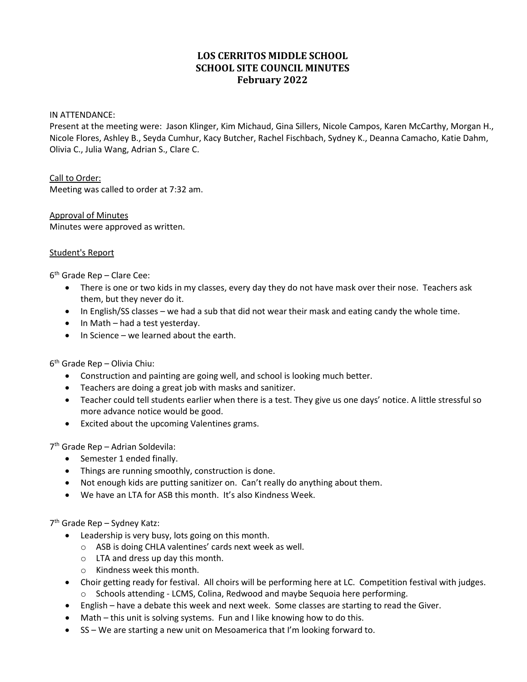# **LOS CERRITOS MIDDLE SCHOOL SCHOOL SITE COUNCIL MINUTES February 2022**

IN ATTENDANCE:

Present at the meeting were: Jason Klinger, Kim Michaud, Gina Sillers, Nicole Campos, Karen McCarthy, Morgan H., Nicole Flores, Ashley B., Seyda Cumhur, Kacy Butcher, Rachel Fischbach, Sydney K., Deanna Camacho, Katie Dahm, Olivia C., Julia Wang, Adrian S., Clare C.

Call to Order: Meeting was called to order at 7:32 am.

Approval of Minutes Minutes were approved as written.

#### Student's Report

 $6<sup>th</sup>$  Grade Rep – Clare Cee:

- There is one or two kids in my classes, every day they do not have mask over their nose. Teachers ask them, but they never do it.
- In English/SS classes we had a sub that did not wear their mask and eating candy the whole time.
- In Math had a test yesterday.
- In Science we learned about the earth.

 $6<sup>th</sup>$  Grade Rep – Olivia Chiu:

- Construction and painting are going well, and school is looking much better.
- Teachers are doing a great job with masks and sanitizer.
- Teacher could tell students earlier when there is a test. They give us one days' notice. A little stressful so more advance notice would be good.
- Excited about the upcoming Valentines grams.

7th Grade Rep – Adrian Soldevila:

- Semester 1 ended finally.
- Things are running smoothly, construction is done.
- Not enough kids are putting sanitizer on. Can't really do anything about them.
- We have an LTA for ASB this month. It's also Kindness Week.

7th Grade Rep – Sydney Katz:

- Leadership is very busy, lots going on this month.
	- o ASB is doing CHLA valentines' cards next week as well.
	- o LTA and dress up day this month.
	- o Kindness week this month.
- Choir getting ready for festival. All choirs will be performing here at LC. Competition festival with judges. o Schools attending - LCMS, Colina, Redwood and maybe Sequoia here performing.
- English have a debate this week and next week. Some classes are starting to read the Giver.
- Math this unit is solving systems. Fun and I like knowing how to do this.
- SS We are starting a new unit on Mesoamerica that I'm looking forward to.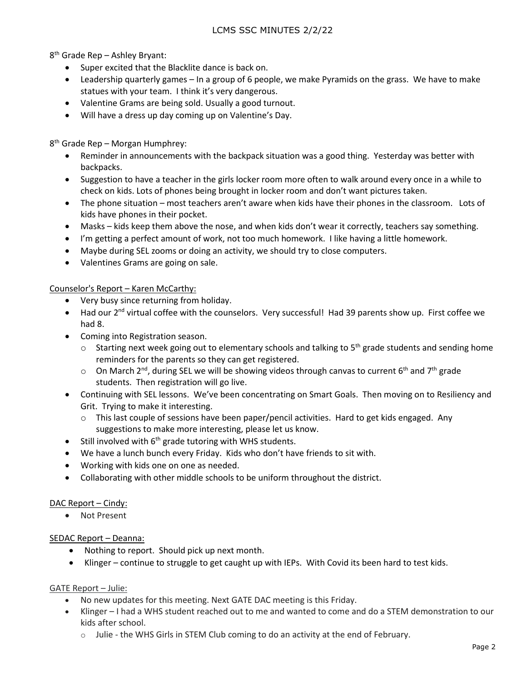8th Grade Rep – Ashley Bryant:

- Super excited that the Blacklite dance is back on.
- Leadership quarterly games In a group of 6 people, we make Pyramids on the grass. We have to make statues with your team. I think it's very dangerous.
- Valentine Grams are being sold. Usually a good turnout.
- Will have a dress up day coming up on Valentine's Day.

8th Grade Rep – Morgan Humphrey:

- Reminder in announcements with the backpack situation was a good thing. Yesterday was better with backpacks.
- Suggestion to have a teacher in the girls locker room more often to walk around every once in a while to check on kids. Lots of phones being brought in locker room and don't want pictures taken.
- The phone situation most teachers aren't aware when kids have their phones in the classroom. Lots of kids have phones in their pocket.
- Masks kids keep them above the nose, and when kids don't wear it correctly, teachers say something.
- I'm getting a perfect amount of work, not too much homework. I like having a little homework.
- Maybe during SEL zooms or doing an activity, we should try to close computers.
- Valentines Grams are going on sale.

#### Counselor's Report - Karen McCarthy:

- Very busy since returning from holiday.
- Had our 2<sup>nd</sup> virtual coffee with the counselors. Very successful! Had 39 parents show up. First coffee we had 8.
- Coming into Registration season.
	- $\circ$  Starting next week going out to elementary schools and talking to 5<sup>th</sup> grade students and sending home reminders for the parents so they can get registered.
	- $\circ$  On March 2<sup>nd</sup>, during SEL we will be showing videos through canvas to current 6<sup>th</sup> and 7<sup>th</sup> grade students. Then registration will go live.
- Continuing with SEL lessons. We've been concentrating on Smart Goals. Then moving on to Resiliency and Grit. Trying to make it interesting.
	- $\circ$  This last couple of sessions have been paper/pencil activities. Hard to get kids engaged. Any suggestions to make more interesting, please let us know.
- Still involved with  $6<sup>th</sup>$  grade tutoring with WHS students.
- We have a lunch bunch every Friday. Kids who don't have friends to sit with.
- Working with kids one on one as needed.
- Collaborating with other middle schools to be uniform throughout the district.

#### DAC Report – Cindy:

• Not Present

#### SEDAC Report – Deanna:

- Nothing to report. Should pick up next month.
- Klinger continue to struggle to get caught up with IEPs. With Covid its been hard to test kids.

#### GATE Report – Julie:

- No new updates for this meeting. Next GATE DAC meeting is this Friday.
- Klinger I had a WHS student reached out to me and wanted to come and do a STEM demonstration to our kids after school.
	- $\circ$  Julie the WHS Girls in STEM Club coming to do an activity at the end of February.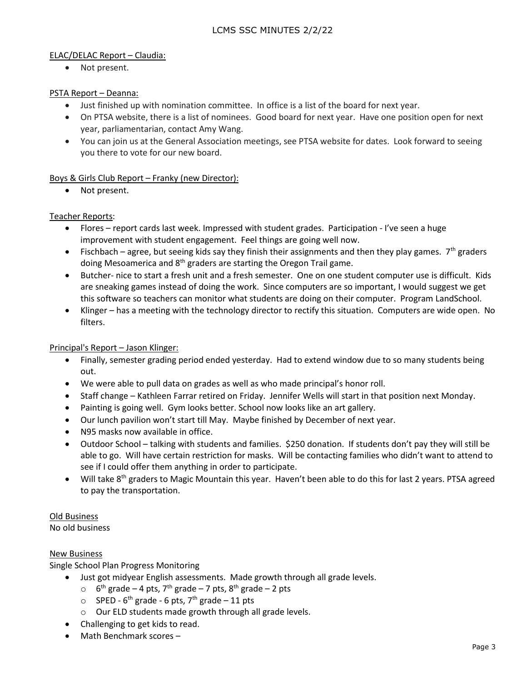# ELAC/DELAC Report – Claudia:

• Not present.

## PSTA Report – Deanna:

- Just finished up with nomination committee. In office is a list of the board for next year.
- On PTSA website, there is a list of nominees. Good board for next year. Have one position open for next year, parliamentarian, contact Amy Wang.
- You can join us at the General Association meetings, see PTSA website for dates. Look forward to seeing you there to vote for our new board.

# Boys & Girls Club Report – Franky (new Director):

• Not present.

# Teacher Reports:

- Flores report cards last week. Impressed with student grades. Participation I've seen a huge improvement with student engagement. Feel things are going well now.
- Fischbach agree, but seeing kids say they finish their assignments and then they play games.  $7<sup>th</sup>$  graders doing Mesoamerica and  $8<sup>th</sup>$  graders are starting the Oregon Trail game.
- Butcher- nice to start a fresh unit and a fresh semester. One on one student computer use is difficult. Kids are sneaking games instead of doing the work. Since computers are so important, I would suggest we get this software so teachers can monitor what students are doing on their computer. Program LandSchool.
- Klinger has a meeting with the technology director to rectify this situation. Computers are wide open. No filters.

#### Principal's Report – Jason Klinger:

- Finally, semester grading period ended yesterday. Had to extend window due to so many students being out.
- We were able to pull data on grades as well as who made principal's honor roll.
- Staff change Kathleen Farrar retired on Friday. Jennifer Wells will start in that position next Monday.
- Painting is going well. Gym looks better. School now looks like an art gallery.
- Our lunch pavilion won't start till May. Maybe finished by December of next year.
- N95 masks now available in office.
- Outdoor School talking with students and families. \$250 donation. If students don't pay they will still be able to go. Will have certain restriction for masks. Will be contacting families who didn't want to attend to see if I could offer them anything in order to participate.
- Will take 8<sup>th</sup> graders to Magic Mountain this year. Haven't been able to do this for last 2 years. PTSA agreed to pay the transportation.

# Old Business

No old business

# New Business

Single School Plan Progress Monitoring

- Just got midyear English assessments. Made growth through all grade levels.
	- $\circ$  6<sup>th</sup> grade 4 pts, 7<sup>th</sup> grade 7 pts, 8<sup>th</sup> grade 2 pts
	- $\circ$  SPED 6<sup>th</sup> grade 6 pts, 7<sup>th</sup> grade 11 pts
	- o Our ELD students made growth through all grade levels.
- Challenging to get kids to read.
- Math Benchmark scores –